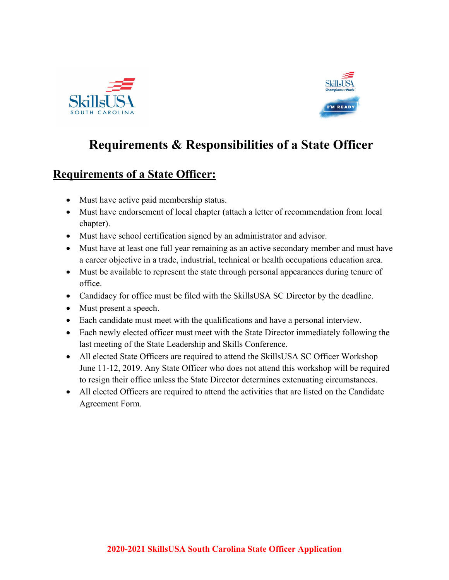



## **Requirements & Responsibilities of a State Officer**

## **Requirements of a State Officer:**

- Must have active paid membership status.
- Must have endorsement of local chapter (attach a letter of recommendation from local chapter).
- Must have school certification signed by an administrator and advisor.
- Must have at least one full year remaining as an active secondary member and must have a career objective in a trade, industrial, technical or health occupations education area.
- Must be available to represent the state through personal appearances during tenure of office.
- Candidacy for office must be filed with the SkillsUSA SC Director by the deadline.
- Must present a speech.
- Each candidate must meet with the qualifications and have a personal interview.
- Each newly elected officer must meet with the State Director immediately following the last meeting of the State Leadership and Skills Conference.
- All elected State Officers are required to attend the SkillsUSA SC Officer Workshop June 11-12, 2019. Any State Officer who does not attend this workshop will be required to resign their office unless the State Director determines extenuating circumstances.
- All elected Officers are required to attend the activities that are listed on the Candidate Agreement Form.